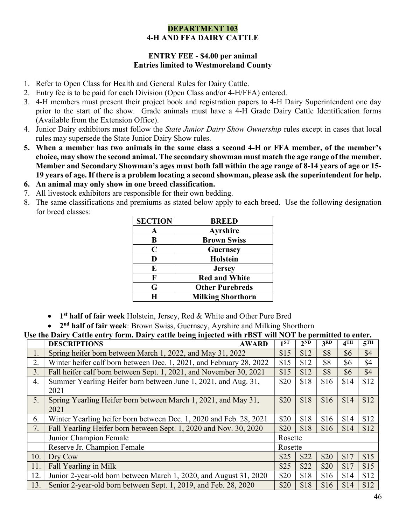## DEPARTMENT 103 4-H AND FFA DAIRY CATTLE

## ENTRY FEE - \$4.00 per animal Entries limited to Westmoreland County

- 1. Refer to Open Class for Health and General Rules for Dairy Cattle.
- 2. Entry fee is to be paid for each Division (Open Class and/or 4-H/FFA) entered.
- 3. 4-H members must present their project book and registration papers to 4-H Dairy Superintendent one day prior to the start of the show. Grade animals must have a 4-H Grade Dairy Cattle Identification forms (Available from the Extension Office).
- 4. Junior Dairy exhibitors must follow the *State Junior Dairy Show Ownership* rules except in cases that local rules may supersede the State Junior Dairy Show rules.
- 5. When a member has two animals in the same class a second 4-H or FFA member, of the member's choice, may show the second animal. The secondary showman must match the age range of the member. Member and Secondary Showman's ages must both fall within the age range of 8-14 years of age or 15- 19 years of age. If there is a problem locating a second showman, please ask the superintendent for help.
- 6. An animal may only show in one breed classification.
- 7. All livestock exhibitors are responsible for their own bedding.
- 8. The same classifications and premiums as stated below apply to each breed. Use the following designation for breed classes:

| <b>SECTION</b> | <b>BREED</b>             |
|----------------|--------------------------|
|                | <b>Ayrshire</b>          |
| B              | <b>Brown Swiss</b>       |
| C              | <b>Guernsey</b>          |
| D              | <b>Holstein</b>          |
| E              | <b>Jersey</b>            |
| F              | <b>Red and White</b>     |
| G              | <b>Other Purebreds</b>   |
| H              | <b>Milking Shorthorn</b> |

- 1<sup>st</sup> half of fair week Holstein, Jersey, Red & White and Other Pure Bred
- 2<sup>nd</sup> half of fair week: Brown Swiss, Guernsey, Ayrshire and Milking Shorthorn

Use the Dairy Cattle entry form. Dairy cattle being injected with rBST will NOT be permitted to enter.

|     | <b>DESCRIPTIONS</b><br><b>AWARD</b>                                    | ı ST    | $2^{ND}$ | 3 <sup>RD</sup> | 4 <sup>TH</sup> | 5 <sup>TH</sup> |
|-----|------------------------------------------------------------------------|---------|----------|-----------------|-----------------|-----------------|
| 1.  | Spring heifer born between March 1, 2022, and May 31, 2022             | \$15    | \$12     | \$8             | \$6             | \$4             |
| 2.  | Winter heifer calf born between Dec. 1, 2021, and February 28, 2022    | \$15    | \$12     | \$8             | \$6             | \$4             |
| 3.  | Fall heifer calf born between Sept. 1, 2021, and November 30, 2021     | \$15    | \$12     | \$8             | \$6             | \$4             |
| 4.  | Summer Yearling Heifer born between June 1, 2021, and Aug. 31,<br>2021 | \$20    | \$18     | \$16            | \$14            | \$12            |
| 5.  | Spring Yearling Heifer born between March 1, 2021, and May 31,<br>2021 | \$20    | \$18     | \$16            | \$14            | \$12            |
| 6.  | Winter Yearling heifer born between Dec. 1, 2020 and Feb. 28, 2021     | \$20    | \$18     | \$16            | \$14            | \$12            |
| 7.  | Fall Yearling Heifer born between Sept. 1, 2020 and Nov. 30, 2020      | \$20    | \$18     | \$16            | \$14            | \$12            |
|     | Junior Champion Female                                                 | Rosette |          |                 |                 |                 |
|     | Reserve Jr. Champion Female                                            | Rosette |          |                 |                 |                 |
| 10. | Dry Cow                                                                | \$25    | \$22     | \$20            | \$17            | \$15            |
| 11. | Fall Yearling in Milk                                                  | \$25    | \$22     | \$20            | \$17            | \$15            |
| 12. | Junior 2-year-old born between March 1, 2020, and August 31, 2020      | \$20    | \$18     | \$16            | \$14            | \$12            |
| 13. | Senior 2-year-old born between Sept. 1, 2019, and Feb. 28, 2020        | \$20    | \$18     | \$16            | \$14            | \$12            |